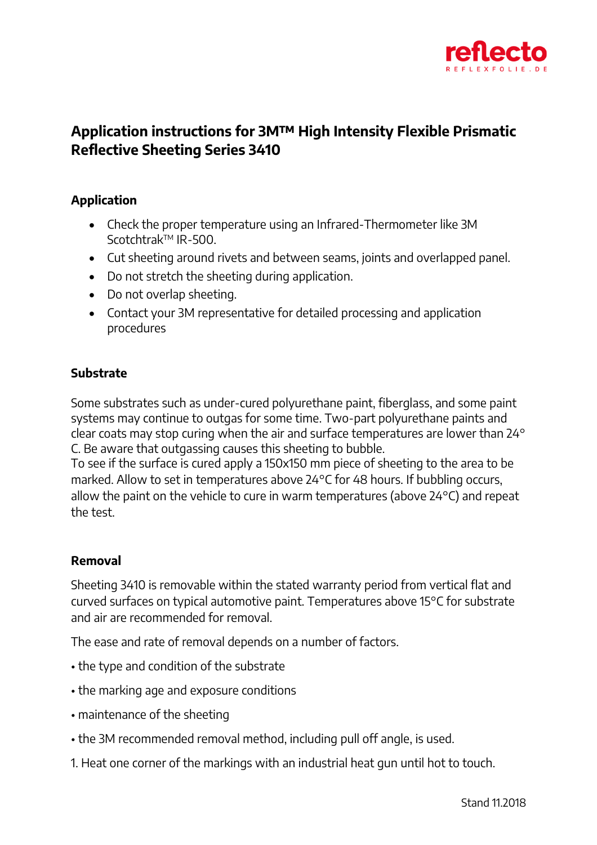

## **Application instructions for 3M™ High Intensity Flexible Prismatic Reflective Sheeting Series 3410**

## **Application**

- Check the proper temperature using an Infrared-Thermometer like 3M ScotchtrakTM IR-500.
- Cut sheeting around rivets and between seams, joints and overlapped panel.
- Do not stretch the sheeting during application.
- Do not overlap sheeting.
- Contact your 3M representative for detailed processing and application procedures

## **Substrate**

Some substrates such as under-cured polyurethane paint, fiberglass, and some paint systems may continue to outgas for some time. Two-part polyurethane paints and clear coats may stop curing when the air and surface temperatures are lower than 24° C. Be aware that outgassing causes this sheeting to bubble.

To see if the surface is cured apply a 150x150 mm piece of sheeting to the area to be marked. Allow to set in temperatures above 24°C for 48 hours. If bubbling occurs, allow the paint on the vehicle to cure in warm temperatures (above 24°C) and repeat the test.

## **Removal**

Sheeting 3410 is removable within the stated warranty period from vertical flat and curved surfaces on typical automotive paint. Temperatures above 15°C for substrate and air are recommended for removal.

The ease and rate of removal depends on a number of factors.

- the type and condition of the substrate
- the marking age and exposure conditions
- maintenance of the sheeting
- the 3M recommended removal method, including pull off angle, is used.
- 1. Heat one corner of the markings with an industrial heat gun until hot to touch.